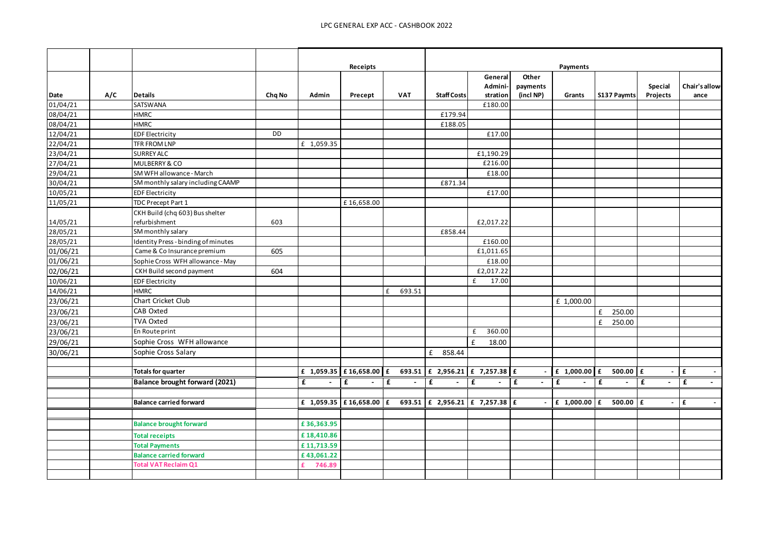|          |     |                                     |        |             | Receipts    |             |                                                                                                 |             |           | Payments                         |                             |                |                        |
|----------|-----|-------------------------------------|--------|-------------|-------------|-------------|-------------------------------------------------------------------------------------------------|-------------|-----------|----------------------------------|-----------------------------|----------------|------------------------|
|          |     |                                     |        |             |             |             |                                                                                                 | General     | Other     |                                  |                             |                |                        |
|          |     |                                     |        |             |             |             |                                                                                                 | Admini-     | payments  |                                  |                             | <b>Special</b> | Chair's allow-         |
| Date     | A/C | <b>Details</b>                      | Chq No | Admin       | Precept     | <b>VAT</b>  | <b>Staff Costs</b>                                                                              | stration    | (incl NP) | Grants                           | S137 Paymts                 | Projects       | ance                   |
| 01/04/21 |     | SATSWANA                            |        |             |             |             |                                                                                                 | £180.00     |           |                                  |                             |                |                        |
| 08/04/21 |     | <b>HMRC</b>                         |        |             |             |             | £179.94                                                                                         |             |           |                                  |                             |                |                        |
| 08/04/21 |     | <b>HMRC</b>                         |        |             |             |             | £188.05                                                                                         |             |           |                                  |                             |                |                        |
| 12/04/21 |     | <b>EDF Electricity</b>              | DD     |             |             |             |                                                                                                 | £17.00      |           |                                  |                             |                |                        |
| 22/04/21 |     | <b>TFR FROM LNP</b>                 |        | £ 1,059.35  |             |             |                                                                                                 |             |           |                                  |                             |                |                        |
| 23/04/21 |     | <b>SURREY ALC</b>                   |        |             |             |             |                                                                                                 | £1,190.29   |           |                                  |                             |                |                        |
| 27/04/21 |     | MULBERRY & CO                       |        |             |             |             |                                                                                                 | £216.00     |           |                                  |                             |                |                        |
| 29/04/21 |     | SM WFH allowance - March            |        |             |             |             |                                                                                                 | £18.00      |           |                                  |                             |                |                        |
| 30/04/21 |     | SM monthly salary including CAAMP   |        |             |             |             | £871.34                                                                                         |             |           |                                  |                             |                |                        |
| 10/05/21 |     | <b>EDF Electricity</b>              |        |             |             |             |                                                                                                 | £17.00      |           |                                  |                             |                |                        |
| 11/05/21 |     | TDC Precept Part 1                  |        |             | £16,658.00  |             |                                                                                                 |             |           |                                  |                             |                |                        |
|          |     | CKH Build (chq 603) Bus shelter     |        |             |             |             |                                                                                                 |             |           |                                  |                             |                |                        |
| 14/05/21 |     | refurbishment                       | 603    |             |             |             |                                                                                                 | £2,017.22   |           |                                  |                             |                |                        |
| 28/05/21 |     | SM monthly salary                   |        |             |             |             | £858.44                                                                                         |             |           |                                  |                             |                |                        |
| 28/05/21 |     | Identity Press - binding of minutes |        |             |             |             |                                                                                                 | £160.00     |           |                                  |                             |                |                        |
| 01/06/21 |     | Came & Co Insurance premium         | 605    |             |             |             |                                                                                                 | £1,011.65   |           |                                  |                             |                |                        |
| 01/06/21 |     | Sophie Cross WFH allowance - May    |        |             |             |             |                                                                                                 | £18.00      |           |                                  |                             |                |                        |
| 02/06/21 |     | CKH Build second payment            | 604    |             |             |             |                                                                                                 | £2,017.22   |           |                                  |                             |                |                        |
| 10/06/21 |     | <b>EDF Electricity</b>              |        |             |             |             |                                                                                                 | £<br>17.00  |           |                                  |                             |                |                        |
| 14/06/21 |     | <b>HMRC</b>                         |        |             |             | £<br>693.51 |                                                                                                 |             |           |                                  |                             |                |                        |
| 23/06/21 |     | Chart Cricket Club                  |        |             |             |             |                                                                                                 |             |           | £ 1,000.00                       |                             |                |                        |
| 23/06/21 |     | CAB Oxted                           |        |             |             |             |                                                                                                 |             |           |                                  | f<br>250.00                 |                |                        |
| 23/06/21 |     | <b>TVA Oxted</b>                    |        |             |             |             |                                                                                                 |             |           |                                  | f<br>250.00                 |                |                        |
| 23/06/21 |     | En Route print                      |        |             |             |             |                                                                                                 | 360.00<br>£ |           |                                  |                             |                |                        |
| 29/06/21 |     | Sophie Cross WFH allowance          |        |             |             |             |                                                                                                 | £<br>18.00  |           |                                  |                             |                |                        |
| 30/06/21 |     | Sophie Cross Salary                 |        |             |             |             | f<br>858.44                                                                                     |             |           |                                  |                             |                |                        |
|          |     |                                     |        |             |             |             |                                                                                                 |             |           |                                  |                             |                |                        |
|          |     | <b>Totals for quarter</b>           |        |             |             |             | £ 1,059.35 £ 16,658.00 £ 693.51 £ 2,956.21 £ 7,257.38 £                                         |             |           |                                  | $f$ 1,000.00 $f$ 500.00 $f$ | $\sim$         | £                      |
|          |     | Balance brought forward (2021)      |        | £<br>$\sim$ | £<br>$\sim$ | £           | £<br>$\sim$                                                                                     | £<br>$\sim$ | £         | $\overline{f}$<br>$\blacksquare$ | £<br>$\sim$                 | £<br>$\sim$    | $\mathbf{f}$<br>$\sim$ |
|          |     |                                     |        |             |             |             |                                                                                                 |             |           |                                  |                             |                |                        |
|          |     | <b>Balance carried forward</b>      |        |             |             |             | £ 1,059.35 $\vert$ £ 16,658.00 $\vert$ £ 693.51 $\vert$ £ 2,956.21 $\vert$ £ 7,257.38 $\vert$ £ |             |           | $-$   £ 1,000.00   £             | $500.00$ $E$                | $\sim$         | £<br>$\sim$            |
|          |     | <b>Balance brought forward</b>      |        | £36,363.95  |             |             |                                                                                                 |             |           |                                  |                             |                |                        |
|          |     |                                     |        |             |             |             |                                                                                                 |             |           |                                  |                             |                |                        |
|          |     | <b>Total receipts</b>               |        | £18,410.86  |             |             |                                                                                                 |             |           |                                  |                             |                |                        |
|          |     | <b>Total Payments</b>               |        | £11,713.59  |             |             |                                                                                                 |             |           |                                  |                             |                |                        |
|          |     | <b>Balance carried forward</b>      |        | £43,061.22  |             |             |                                                                                                 |             |           |                                  |                             |                |                        |
|          |     | <b>Total VAT Reclaim Q1</b>         |        | £<br>746.89 |             |             |                                                                                                 |             |           |                                  |                             |                |                        |
|          |     |                                     |        |             |             |             |                                                                                                 |             |           |                                  |                             |                |                        |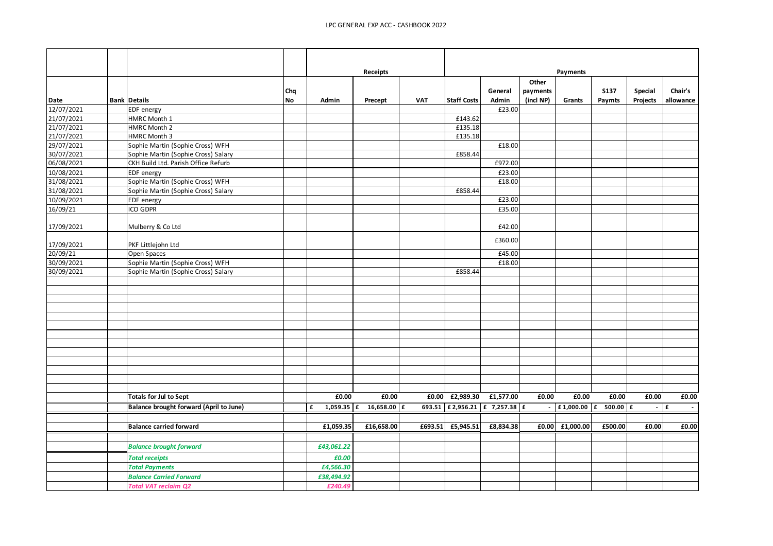|            |                                         |                  |            | Receipts                   |            |                               |                  |                                | Payments    |                       |                     |                      |
|------------|-----------------------------------------|------------------|------------|----------------------------|------------|-------------------------------|------------------|--------------------------------|-------------|-----------------------|---------------------|----------------------|
| Date       | <b>Bank Details</b>                     | Chq<br><b>No</b> | Admin      | Precept                    | <b>VAT</b> | <b>Staff Costs</b>            | General<br>Admin | Other<br>payments<br>(incl NP) | Grants      | <b>S137</b><br>Paymts | Special<br>Projects | Chair's<br>allowance |
| 12/07/2021 | EDF energy                              |                  |            |                            |            |                               | £23.00           |                                |             |                       |                     |                      |
| 21/07/2021 | HMRC Month 1                            |                  |            |                            |            | £143.62                       |                  |                                |             |                       |                     |                      |
| 21/07/2021 | HMRC Month 2                            |                  |            |                            |            | £135.18                       |                  |                                |             |                       |                     |                      |
| 21/07/2021 | HMRC Month 3                            |                  |            |                            |            | £135.18                       |                  |                                |             |                       |                     |                      |
| 29/07/2021 | Sophie Martin (Sophie Cross) WFH        |                  |            |                            |            |                               | £18.00           |                                |             |                       |                     |                      |
| 30/07/2021 | Sophie Martin (Sophie Cross) Salary     |                  |            |                            |            | £858.44                       |                  |                                |             |                       |                     |                      |
| 06/08/2021 | CKH Build Ltd. Parish Office Refurb     |                  |            |                            |            |                               | £972.00          |                                |             |                       |                     |                      |
| 10/08/2021 | <b>EDF</b> energy                       |                  |            |                            |            |                               | £23.00           |                                |             |                       |                     |                      |
| 31/08/2021 | Sophie Martin (Sophie Cross) WFH        |                  |            |                            |            |                               | £18.00           |                                |             |                       |                     |                      |
| 31/08/2021 | Sophie Martin (Sophie Cross) Salary     |                  |            |                            |            | £858.44                       |                  |                                |             |                       |                     |                      |
| 10/09/2021 | EDF energy                              |                  |            |                            |            |                               | £23.00           |                                |             |                       |                     |                      |
| 16/09/21   | ICO GDPR                                |                  |            |                            |            |                               | £35.00           |                                |             |                       |                     |                      |
| 17/09/2021 | Mulberry & Co Ltd                       |                  |            |                            |            |                               | £42.00           |                                |             |                       |                     |                      |
| 17/09/2021 | PKF Littlejohn Ltd                      |                  |            |                            |            |                               | £360.00          |                                |             |                       |                     |                      |
| 20/09/21   | Open Spaces                             |                  |            |                            |            |                               | £45.00           |                                |             |                       |                     |                      |
| 30/09/2021 | Sophie Martin (Sophie Cross) WFH        |                  |            |                            |            |                               | £18.00           |                                |             |                       |                     |                      |
| 30/09/2021 | Sophie Martin (Sophie Cross) Salary     |                  |            |                            |            | £858.44                       |                  |                                |             |                       |                     |                      |
|            |                                         |                  |            |                            |            |                               |                  |                                |             |                       |                     |                      |
|            |                                         |                  |            |                            |            |                               |                  |                                |             |                       |                     |                      |
|            |                                         |                  |            |                            |            |                               |                  |                                |             |                       |                     |                      |
|            |                                         |                  |            |                            |            |                               |                  |                                |             |                       |                     |                      |
|            |                                         |                  |            |                            |            |                               |                  |                                |             |                       |                     |                      |
|            |                                         |                  |            |                            |            |                               |                  |                                |             |                       |                     |                      |
|            |                                         |                  |            |                            |            |                               |                  |                                |             |                       |                     |                      |
|            |                                         |                  |            |                            |            |                               |                  |                                |             |                       |                     |                      |
|            |                                         |                  |            |                            |            |                               |                  |                                |             |                       |                     |                      |
|            |                                         |                  |            |                            |            |                               |                  |                                |             |                       |                     |                      |
|            |                                         |                  |            |                            |            |                               |                  |                                |             |                       |                     |                      |
|            |                                         |                  |            |                            |            |                               |                  |                                |             |                       |                     |                      |
|            |                                         |                  |            |                            |            |                               |                  |                                |             |                       |                     |                      |
|            | Totals for Jul to Sept                  |                  | £0.00      | £0.00                      |            | £0.00 £2,989.30               | £1,577.00        | £0.00                          | £0.00       | £0.00                 | £0.00               | £0.00                |
|            | Balance brought forward (April to June) |                  | £          | 1,059.35 $f$ 16,658.00 $f$ |            | 693.51 £2,956.21 £ 7,257.38 £ |                  | $\overline{\phantom{a}}$       | £1,000.00 £ | $500.00$ $E$          | $\sim$              | Ι£<br>$\sim$         |
|            |                                         |                  |            |                            |            |                               |                  |                                |             |                       |                     |                      |
|            | <b>Balance carried forward</b>          |                  | £1,059.35  | £16,658.00                 |            | £693.51 £5,945.51             | £8,834.38        | £0.00                          | £1,000.00   | £500.00               | £0.00               | £0.00                |
|            |                                         |                  |            |                            |            |                               |                  |                                |             |                       |                     |                      |
|            | <b>Balance brought forward</b>          |                  | £43,061.22 |                            |            |                               |                  |                                |             |                       |                     |                      |
|            | <b>Total receipts</b>                   |                  | £0.00      |                            |            |                               |                  |                                |             |                       |                     |                      |
|            | <b>Total Payments</b>                   |                  | £4,566.30  |                            |            |                               |                  |                                |             |                       |                     |                      |
|            | <b>Balance Carried Forward</b>          |                  | £38,494.92 |                            |            |                               |                  |                                |             |                       |                     |                      |
|            |                                         |                  |            |                            |            |                               |                  |                                |             |                       |                     |                      |
|            | <b>Total VAT reclaim Q2</b>             |                  | £240.49    |                            |            |                               |                  |                                |             |                       |                     |                      |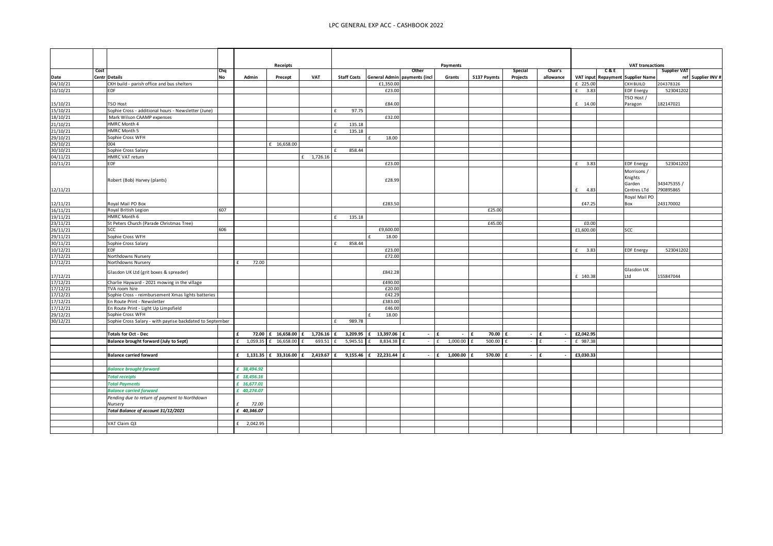|                      |      |                                                           |                  |               | <b>Receipts</b>          |                        |                    |                                                       |               | Payments                 |             |                     |                      |           |     | <b>VAT transactions</b>           |                     |                    |
|----------------------|------|-----------------------------------------------------------|------------------|---------------|--------------------------|------------------------|--------------------|-------------------------------------------------------|---------------|--------------------------|-------------|---------------------|----------------------|-----------|-----|-----------------------------------|---------------------|--------------------|
| Date                 | Cost | <b>Centr Details</b>                                      | Chq<br><b>No</b> | Admin         | Precept                  | VAT                    | <b>Staff Costs</b> | General Admin payments (incl                          | Other         | Grants                   | S137 Paymts | Special<br>Projects | Chair's<br>allowance |           | C&E | VAT input Repayment Supplier Name | <b>Supplier VAT</b> | ref Supplier INV # |
| 04/10/21             |      | CKH build - parish office and bus shelters                |                  |               |                          |                        |                    | £1,350.00                                             |               |                          |             |                     |                      | £ 225.00  |     | CKH BUILD                         | 204378326           |                    |
| 10/10/21             |      | EDF                                                       |                  |               |                          |                        |                    | £23.00                                                |               |                          |             |                     |                      | £<br>3.83 |     | <b>EDF Energy</b>                 | 523041202           |                    |
|                      |      |                                                           |                  |               |                          |                        |                    |                                                       |               |                          |             |                     |                      |           |     |                                   |                     |                    |
| 15/10/21             |      | TSO Host                                                  |                  |               |                          |                        |                    | £84.00                                                |               |                          |             |                     |                      | £ 14.00   |     | TSO Host /                        | 182147021           |                    |
| 15/10/21             |      | Sophie Cross - additional hours - Newsletter (June)       |                  |               |                          |                        | 97.75              |                                                       |               |                          |             |                     |                      |           |     | Paragon                           |                     |                    |
| 18/10/21             |      | Mark Wilson CAAMP expenses                                |                  |               |                          |                        |                    | £32.00                                                |               |                          |             |                     |                      |           |     |                                   |                     |                    |
|                      |      | HMRC Month 4                                              |                  |               |                          |                        | 135.18             |                                                       |               |                          |             |                     |                      |           |     |                                   |                     |                    |
| 21/10/21             |      | HMRC Month 5                                              |                  |               |                          |                        |                    |                                                       |               |                          |             |                     |                      |           |     |                                   |                     |                    |
| 21/10/21             |      |                                                           |                  |               |                          |                        | 135.18             |                                                       |               |                          |             |                     |                      |           |     |                                   |                     |                    |
| 29/10/21             |      | Sophie Cross WFH                                          |                  |               |                          |                        |                    | 18.00                                                 |               |                          |             |                     |                      |           |     |                                   |                     |                    |
| 29/10/21<br>30/10/21 |      | 004<br>Sophie Cross Salary                                |                  |               | £ 16,658.00              |                        | 858.44             |                                                       |               |                          |             |                     |                      |           |     |                                   |                     |                    |
| 04/11/21             |      | HMRC VAT return                                           |                  |               |                          | £ 1,726.16             |                    |                                                       |               |                          |             |                     |                      |           |     |                                   |                     |                    |
|                      |      | <b>EDF</b>                                                |                  |               |                          |                        |                    |                                                       |               |                          |             |                     |                      |           |     |                                   |                     |                    |
| 10/11/21             |      |                                                           |                  |               |                          |                        |                    | £23.00                                                |               |                          |             |                     |                      | £ 3.83    |     | <b>EDF Energy</b>                 | 523041202           |                    |
|                      |      |                                                           |                  |               |                          |                        |                    |                                                       |               |                          |             |                     |                      |           |     | Morrisons /                       |                     |                    |
|                      |      | Robert (Bob) Harvey (plants)                              |                  |               |                          |                        |                    | £28.99                                                |               |                          |             |                     |                      |           |     | Knights                           |                     |                    |
|                      |      |                                                           |                  |               |                          |                        |                    |                                                       |               |                          |             |                     |                      |           |     | Garden                            | 343475355 /         |                    |
| 12/11/21             |      |                                                           |                  |               |                          |                        |                    |                                                       |               |                          |             |                     |                      | £ 4.83    |     | Centres LTd                       | 790895865           |                    |
|                      |      |                                                           |                  |               |                          |                        |                    |                                                       |               |                          |             |                     |                      |           |     | Royal Mail PO                     |                     |                    |
| 12/11/21             |      | Royal Mail PO Box                                         |                  |               |                          |                        |                    | £283.50                                               |               |                          |             |                     |                      | £47.25    |     | Box                               | 243170002           |                    |
| 16/11/21             |      | Royal British Legion                                      | 607              |               |                          |                        |                    |                                                       |               |                          | £25.00      |                     |                      |           |     |                                   |                     |                    |
| 19/11/21             |      | HMRC Month 6                                              |                  |               |                          |                        | 135.18             |                                                       |               |                          |             |                     |                      |           |     |                                   |                     |                    |
| 23/11/21             |      | St Peters Church (Parade Christmas Tree)                  |                  |               |                          |                        |                    |                                                       |               |                          | £45.00      |                     |                      | £0.00     |     |                                   |                     |                    |
| 26/11/21             |      | <b>SCC</b>                                                | 606              |               |                          |                        |                    | £9,600.00                                             |               |                          |             |                     |                      | £1,600.00 |     | SCC                               |                     |                    |
| 29/11/21             |      | Sophie Cross WFH                                          |                  |               |                          |                        |                    | 18.00                                                 |               |                          |             |                     |                      |           |     |                                   |                     |                    |
| 30/11/21             |      | Sophie Cross Salary                                       |                  |               |                          |                        | 858.44             |                                                       |               |                          |             |                     |                      |           |     |                                   |                     |                    |
| 10/12/21             |      | <b>EDF</b>                                                |                  |               |                          |                        |                    | £23.00                                                |               |                          |             |                     |                      | 3.83<br>f |     | <b>EDF Energy</b>                 | 523041202           |                    |
| 17/12/21             |      | Northdowns Nursery                                        |                  |               |                          |                        |                    | £72.00                                                |               |                          |             |                     |                      |           |     |                                   |                     |                    |
| 17/12/21             |      | Northdowns Nursery                                        |                  | 72.00         |                          |                        |                    |                                                       |               |                          |             |                     |                      |           |     |                                   |                     |                    |
|                      |      | Glasdon UK Ltd (grit boxes & spreader)                    |                  |               |                          |                        |                    | £842.28                                               |               |                          |             |                     |                      |           |     | Glasdon UK                        |                     |                    |
| 17/12/21             |      |                                                           |                  |               |                          |                        |                    |                                                       |               |                          |             |                     |                      | £ 140.38  |     | Ltd                               | 155847044           |                    |
| 17/12/21             |      | Charlie Hayward - 2021 mowing in the village              |                  |               |                          |                        |                    | £490.00                                               |               |                          |             |                     |                      |           |     |                                   |                     |                    |
| .7/12/21             |      | TVA room hire                                             |                  |               |                          |                        |                    | £20.00                                                |               |                          |             |                     |                      |           |     |                                   |                     |                    |
| 7/12/21              |      | Sophie Cross - reimbursement Xmas lights batteries        |                  |               |                          |                        |                    | £42.29                                                |               |                          |             |                     |                      |           |     |                                   |                     |                    |
| .7/12/21             |      | En Route Print - Newsletter                               |                  |               |                          |                        |                    | £383.00                                               |               |                          |             |                     |                      |           |     |                                   |                     |                    |
| 7/12/21              |      | En Route Print - Light Up Limpsfield                      |                  |               |                          |                        |                    | £46.00                                                |               |                          |             |                     |                      |           |     |                                   |                     |                    |
| !9/12/21             |      | Sophie Cross WFH                                          |                  |               |                          |                        |                    | 18.00                                                 |               |                          |             |                     |                      |           |     |                                   |                     |                    |
| 30/12/21             |      | Sophie Cross Salary - with payrise backdated to September |                  |               |                          |                        | 989.78             |                                                       |               |                          |             |                     |                      |           |     |                                   |                     |                    |
|                      |      |                                                           |                  |               |                          |                        |                    |                                                       |               |                          | 70.00       |                     |                      | £2,042.95 |     |                                   |                     |                    |
|                      |      | <b>Totals for Oct - Dec</b>                               |                  | £             |                          |                        |                    | 72.00 £ 16,658.00 £ 1,726.16 £ 3,209.95 £ 13,397.06 £ | $ \mathbf{f}$ | $\sim$                   | £           |                     | $-$ 1 £              |           |     |                                   |                     |                    |
|                      |      | Balance brought forward (July to Sept)                    |                  |               | £ 1,059.35 £ 16,658.00 £ | 693.51 f               | $5,945.51$ £       | 8,834.38 £                                            | $-$ If        | $1,000.00$ £             | $500.00$ £  |                     | $-1f$                | £ 987.38  |     |                                   |                     |                    |
|                      |      |                                                           |                  |               |                          |                        |                    |                                                       |               |                          |             |                     |                      |           |     |                                   |                     |                    |
|                      |      | <b>Balance carried forward</b>                            |                  | 1,131.35<br>£ |                          | £ 33,316.00 £ 2,419.67 | 9,155.46<br>£      | £ 22,231.44 £                                         | $\sim$        | 1,000.00<br>$\mathbf{f}$ | 570.00      |                     | $-$ If               | £3,030.33 |     |                                   |                     |                    |
|                      |      |                                                           |                  |               |                          |                        |                    |                                                       |               |                          |             |                     |                      |           |     |                                   |                     |                    |
|                      |      | <b>Balance brought forward</b>                            |                  | £ 38,494.92   |                          |                        |                    |                                                       |               |                          |             |                     |                      |           |     |                                   |                     |                    |
|                      |      | <b>Total receipts</b>                                     |                  | £ 18,456.16   |                          |                        |                    |                                                       |               |                          |             |                     |                      |           |     |                                   |                     |                    |
|                      |      | <b>Total Payments</b>                                     |                  | £ 16,677.01   |                          |                        |                    |                                                       |               |                          |             |                     |                      |           |     |                                   |                     |                    |
|                      |      | <b>Balance carried forward</b>                            |                  | £ 40,274.07   |                          |                        |                    |                                                       |               |                          |             |                     |                      |           |     |                                   |                     |                    |
|                      |      | Pending due to return of payment to Northdown             |                  |               |                          |                        |                    |                                                       |               |                          |             |                     |                      |           |     |                                   |                     |                    |
|                      |      | Nursery                                                   |                  | 72.00         |                          |                        |                    |                                                       |               |                          |             |                     |                      |           |     |                                   |                     |                    |
|                      |      | Total Balance of account 31/12/2021                       |                  | £ 40,346.07   |                          |                        |                    |                                                       |               |                          |             |                     |                      |           |     |                                   |                     |                    |
|                      |      |                                                           |                  |               |                          |                        |                    |                                                       |               |                          |             |                     |                      |           |     |                                   |                     |                    |
|                      |      | VAT Claim Q3                                              |                  | 2,042.95<br>f |                          |                        |                    |                                                       |               |                          |             |                     |                      |           |     |                                   |                     |                    |
|                      |      |                                                           |                  |               |                          |                        |                    |                                                       |               |                          |             |                     |                      |           |     |                                   |                     |                    |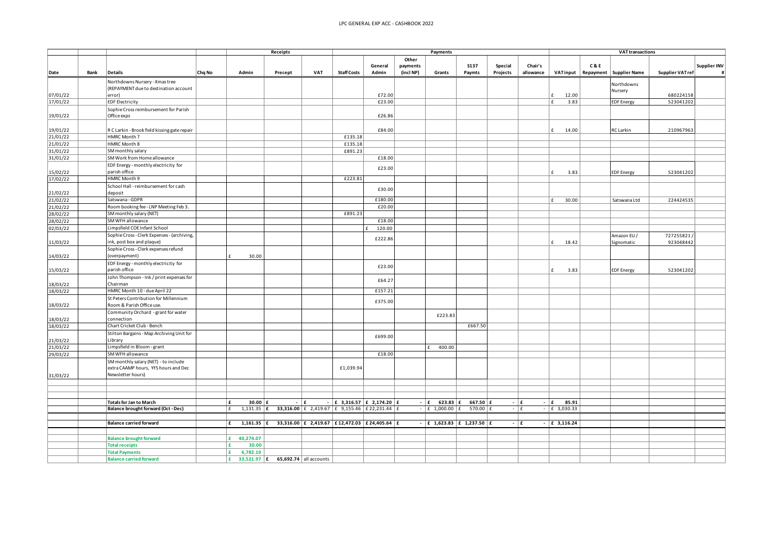|                      |      |                                                                              |        |                                         | Receipts                                                                                          |                                                                                                                                                                                                                                             |                    |                                  | Payments                       |                                   |                              |                     | <b>VAT transactions</b> |                                |     |                           |                        |                     |
|----------------------|------|------------------------------------------------------------------------------|--------|-----------------------------------------|---------------------------------------------------------------------------------------------------|---------------------------------------------------------------------------------------------------------------------------------------------------------------------------------------------------------------------------------------------|--------------------|----------------------------------|--------------------------------|-----------------------------------|------------------------------|---------------------|-------------------------|--------------------------------|-----|---------------------------|------------------------|---------------------|
| Date                 | Bank | <b>Details</b>                                                               | Chq No | Admin                                   | Precept                                                                                           | <b>VAT</b>                                                                                                                                                                                                                                  | <b>Staff Costs</b> | General<br>Admin                 | Other<br>payments<br>(incl NP) | Grants                            | <b>S137</b><br>Paymts        | Special<br>Projects | Chair's<br>allowance    | <b>VATinput</b>                | C&E | Repayment   Supplier Name | <b>Supplier VATref</b> | <b>Supplier INV</b> |
|                      |      |                                                                              |        |                                         |                                                                                                   |                                                                                                                                                                                                                                             |                    |                                  |                                |                                   |                              |                     |                         |                                |     |                           |                        |                     |
|                      |      | Northdowns Nursery - Xmas tree                                               |        |                                         |                                                                                                   |                                                                                                                                                                                                                                             |                    |                                  |                                |                                   |                              |                     |                         |                                |     | Northdowns                |                        |                     |
| 07/01/22             |      | (REPAYMENT due to destination account<br>error)                              |        |                                         |                                                                                                   |                                                                                                                                                                                                                                             |                    | £72.00                           |                                |                                   |                              |                     |                         | 12.00<br>$\epsilon$            |     | Nursery                   | 680224158              |                     |
| 17/01/22             |      | <b>EDF Electricity</b>                                                       |        |                                         |                                                                                                   |                                                                                                                                                                                                                                             |                    | £23.00                           |                                |                                   |                              |                     |                         | £<br>3.83                      |     | <b>EDF</b> Energy         | 523041202              |                     |
|                      |      | Sophie Cross reimbursement for Parish                                        |        |                                         |                                                                                                   |                                                                                                                                                                                                                                             |                    |                                  |                                |                                   |                              |                     |                         |                                |     |                           |                        |                     |
| 19/01/22             |      | Office exps                                                                  |        |                                         |                                                                                                   |                                                                                                                                                                                                                                             |                    | £26.86                           |                                |                                   |                              |                     |                         |                                |     |                           |                        |                     |
|                      |      |                                                                              |        |                                         |                                                                                                   |                                                                                                                                                                                                                                             |                    |                                  |                                |                                   |                              |                     |                         |                                |     |                           |                        |                     |
| 19/01/22             |      | R C Larkin - Brook field kissing gate repair                                 |        |                                         |                                                                                                   |                                                                                                                                                                                                                                             |                    | £84.00                           |                                |                                   |                              |                     |                         | $\epsilon$<br>14.00            |     | RC Larkin                 | 210967963              |                     |
| 21/01/22             |      | HMRC Month 7                                                                 |        |                                         |                                                                                                   |                                                                                                                                                                                                                                             | £135.18            |                                  |                                |                                   |                              |                     |                         |                                |     |                           |                        |                     |
| $\sqrt{21/01/22}$    |      | HMRC Month 8                                                                 |        |                                         |                                                                                                   |                                                                                                                                                                                                                                             | £135.18            |                                  |                                |                                   |                              |                     |                         |                                |     |                           |                        |                     |
| 31/01/22             |      | SM monthly salary                                                            |        |                                         |                                                                                                   |                                                                                                                                                                                                                                             | £891.23            |                                  |                                |                                   |                              |                     |                         |                                |     |                           |                        |                     |
| 31/01/22             |      | SM Work from Home allowance                                                  |        |                                         |                                                                                                   |                                                                                                                                                                                                                                             |                    | £18.00                           |                                |                                   |                              |                     |                         |                                |     |                           |                        |                     |
|                      |      | EDF Energy - monthly electricity for<br>parish office                        |        |                                         |                                                                                                   |                                                                                                                                                                                                                                             |                    | £23.00                           |                                |                                   |                              |                     |                         | $\epsilon$                     |     |                           |                        |                     |
| 15/02/22             |      | HMRC Month 9                                                                 |        |                                         |                                                                                                   |                                                                                                                                                                                                                                             | £223.81            |                                  |                                |                                   |                              |                     |                         | 3.83                           |     | <b>EDF Energy</b>         | 523041202              |                     |
| 17/02/22             |      | School Hall - reimbursement for cash                                         |        |                                         |                                                                                                   |                                                                                                                                                                                                                                             |                    |                                  |                                |                                   |                              |                     |                         |                                |     |                           |                        |                     |
| 21/02/22             |      | deposit                                                                      |        |                                         |                                                                                                   |                                                                                                                                                                                                                                             |                    | £30.00                           |                                |                                   |                              |                     |                         |                                |     |                           |                        |                     |
| 21/02/22             |      | Satswana - GDPR                                                              |        |                                         |                                                                                                   |                                                                                                                                                                                                                                             |                    | £180.00                          |                                |                                   |                              |                     |                         | £<br>30.00                     |     | Satswana Ltd              | 224424535              |                     |
| 21/02/22             |      | Room booking fee - LNP Meeting Feb 3.                                        |        |                                         |                                                                                                   |                                                                                                                                                                                                                                             |                    | £20.00                           |                                |                                   |                              |                     |                         |                                |     |                           |                        |                     |
| 28/02/22             |      | SM monthly salary (NET)                                                      |        |                                         |                                                                                                   |                                                                                                                                                                                                                                             | £891.23            |                                  |                                |                                   |                              |                     |                         |                                |     |                           |                        |                     |
| 28/02/22             |      | SM WFH allowance                                                             |        |                                         |                                                                                                   |                                                                                                                                                                                                                                             |                    | £18.00                           |                                |                                   |                              |                     |                         |                                |     |                           |                        |                     |
| 02/03/22             |      | Limpsfield COE Infant School                                                 |        |                                         |                                                                                                   |                                                                                                                                                                                                                                             |                    | 120.00                           |                                |                                   |                              |                     |                         |                                |     |                           |                        |                     |
|                      |      | Sophie Cross - Clerk Expenses - (archiving,                                  |        |                                         |                                                                                                   |                                                                                                                                                                                                                                             |                    | £222.86                          |                                |                                   |                              |                     |                         |                                |     | Amazon EU /               | 727255821              |                     |
| 11/03/22             |      | ink, post box and plaque)                                                    |        |                                         |                                                                                                   |                                                                                                                                                                                                                                             |                    |                                  |                                |                                   |                              |                     |                         | £<br>18.42                     |     | Signomatic                | 923048442              |                     |
|                      |      | Sophie Cross - Clerk expenses refund                                         |        |                                         |                                                                                                   |                                                                                                                                                                                                                                             |                    |                                  |                                |                                   |                              |                     |                         |                                |     |                           |                        |                     |
| 14/03/22             |      | (overpayment)                                                                |        | 30.00<br>$\mathbf{f}$                   |                                                                                                   |                                                                                                                                                                                                                                             |                    |                                  |                                |                                   |                              |                     |                         |                                |     |                           |                        |                     |
|                      |      | EDF Energy - monthly electricity for<br>parish office                        |        |                                         |                                                                                                   |                                                                                                                                                                                                                                             |                    | £23.00                           |                                |                                   |                              |                     |                         | £                              |     |                           |                        |                     |
| 15/03/22             |      | John Thompson - Ink / print expenses for                                     |        |                                         |                                                                                                   |                                                                                                                                                                                                                                             |                    |                                  |                                |                                   |                              |                     |                         | 3.83                           |     | <b>EDF</b> Energy         | 523041202              |                     |
| 18/03/22             |      | Chairman                                                                     |        |                                         |                                                                                                   |                                                                                                                                                                                                                                             |                    | £64.2                            |                                |                                   |                              |                     |                         |                                |     |                           |                        |                     |
| 18/03/22             |      | HMRC Month 10 - due April 22                                                 |        |                                         |                                                                                                   |                                                                                                                                                                                                                                             |                    | £157.21                          |                                |                                   |                              |                     |                         |                                |     |                           |                        |                     |
|                      |      | St Peters Contribution for Millennium                                        |        |                                         |                                                                                                   |                                                                                                                                                                                                                                             |                    |                                  |                                |                                   |                              |                     |                         |                                |     |                           |                        |                     |
| 18/03/22             |      | Room & Parish Office use.                                                    |        |                                         |                                                                                                   |                                                                                                                                                                                                                                             |                    | £375.00                          |                                |                                   |                              |                     |                         |                                |     |                           |                        |                     |
|                      |      | Community Orchard - grant for water                                          |        |                                         |                                                                                                   |                                                                                                                                                                                                                                             |                    |                                  |                                | £223.83                           |                              |                     |                         |                                |     |                           |                        |                     |
| 18/03/22             |      | connection                                                                   |        |                                         |                                                                                                   |                                                                                                                                                                                                                                             |                    |                                  |                                |                                   |                              |                     |                         |                                |     |                           |                        |                     |
| 18/03/22             |      | Chart Cricket Club - Bench                                                   |        |                                         |                                                                                                   |                                                                                                                                                                                                                                             |                    |                                  |                                |                                   | £667.50                      |                     |                         |                                |     |                           |                        |                     |
|                      |      | Stilton Bargains - Map Archiving Unit for                                    |        |                                         |                                                                                                   |                                                                                                                                                                                                                                             |                    | £699.00                          |                                |                                   |                              |                     |                         |                                |     |                           |                        |                     |
| 21/03/22<br>21/03/22 |      | Library<br>Limpsfield in Bloom - grant                                       |        |                                         |                                                                                                   |                                                                                                                                                                                                                                             |                    |                                  |                                | 400.00<br>£.                      |                              |                     |                         |                                |     |                           |                        |                     |
| 29/03/22             |      | SM WFH allowance                                                             |        |                                         |                                                                                                   |                                                                                                                                                                                                                                             |                    | £18.00                           |                                |                                   |                              |                     |                         |                                |     |                           |                        |                     |
|                      |      | SM monthly salary (NET) - to include                                         |        |                                         |                                                                                                   |                                                                                                                                                                                                                                             |                    |                                  |                                |                                   |                              |                     |                         |                                |     |                           |                        |                     |
|                      |      | extra CAAMP hours, YFS hours and Dec                                         |        |                                         |                                                                                                   |                                                                                                                                                                                                                                             | £1,039.94          |                                  |                                |                                   |                              |                     |                         |                                |     |                           |                        |                     |
| 31/03/22             |      | Newsletter hours)                                                            |        |                                         |                                                                                                   |                                                                                                                                                                                                                                             |                    |                                  |                                |                                   |                              |                     |                         |                                |     |                           |                        |                     |
|                      |      |                                                                              |        |                                         |                                                                                                   |                                                                                                                                                                                                                                             |                    |                                  |                                |                                   |                              |                     |                         |                                |     |                           |                        |                     |
|                      |      |                                                                              |        |                                         |                                                                                                   |                                                                                                                                                                                                                                             |                    |                                  |                                |                                   |                              |                     |                         |                                |     |                           |                        |                     |
|                      |      |                                                                              |        |                                         |                                                                                                   |                                                                                                                                                                                                                                             |                    |                                  |                                |                                   |                              |                     |                         |                                |     |                           |                        |                     |
|                      |      | <b>Totals for Jan to March</b><br><b>Balance brought forward (Oct - Dec)</b> |        | 30.00 $E$<br>١£<br>$1,131.35$ $E$<br>۱£ |                                                                                                   | $ E$<br>$\overline{\phantom{a}}$<br><b>33,316.00</b> $\begin{bmatrix} 6 \\ 2 \\ 419.67 \end{bmatrix}$ $\begin{bmatrix} 6 \\ 9 \\ 155.46 \end{bmatrix}$ $\begin{bmatrix} 22 \\ 231.44 \end{bmatrix}$ $\begin{bmatrix} 6 \\ 16 \end{bmatrix}$ |                    | $ E$ 3,316.57 $ E$ 2,174.20 $ E$ | $ E$                           | $623.83$ $E$<br>$ E$ 1,000.00 $E$ | $667.50$ $E$<br>570.00 $E$   |                     | $ \mathbf{f}$<br>$ E$   | 85.91<br>$ E$<br>$ E$ 3,030.33 |     |                           |                        |                     |
|                      |      |                                                                              |        |                                         |                                                                                                   |                                                                                                                                                                                                                                             |                    |                                  |                                |                                   |                              |                     |                         |                                |     |                           |                        |                     |
|                      |      | <b>Balance carried forward</b>                                               |        | Ι£                                      | 1,161.35 $\vert$ £ 33,316.00 $\vert$ £ 2,419.67 $\vert$ £ 12,472.03 $\vert$ £ 24,405.64 $\vert$ £ |                                                                                                                                                                                                                                             |                    |                                  |                                |                                   | - $ E 1,623.83 E 1,237.50 E$ |                     | $ E$                    | $ E = 3,116.24$                |     |                           |                        |                     |
|                      |      |                                                                              |        |                                         |                                                                                                   |                                                                                                                                                                                                                                             |                    |                                  |                                |                                   |                              |                     |                         |                                |     |                           |                        |                     |
|                      |      | <b>Balance brought forward</b>                                               |        | 40,274.07<br>l£.                        |                                                                                                   |                                                                                                                                                                                                                                             |                    |                                  |                                |                                   |                              |                     |                         |                                |     |                           |                        |                     |
|                      |      | <b>Total receipts</b>                                                        |        | l £<br>30.00                            |                                                                                                   |                                                                                                                                                                                                                                             |                    |                                  |                                |                                   |                              |                     |                         |                                |     |                           |                        |                     |
|                      |      | <b>Total Payments</b>                                                        |        | 6,782.10<br>E.                          |                                                                                                   |                                                                                                                                                                                                                                             |                    |                                  |                                |                                   |                              |                     |                         |                                |     |                           |                        |                     |
|                      |      | <b>Balance carried forward</b>                                               |        | l £<br>33,521.97 $E$                    |                                                                                                   | $65,692.74$ all accounts                                                                                                                                                                                                                    |                    |                                  |                                |                                   |                              |                     |                         |                                |     |                           |                        |                     |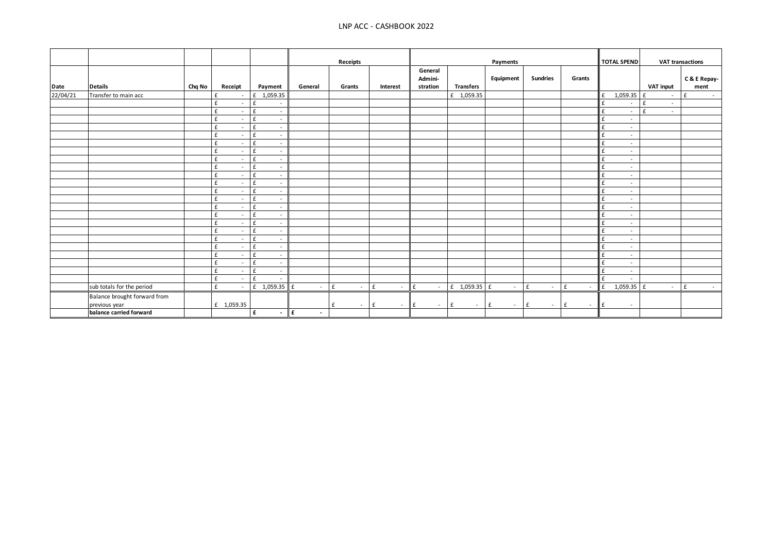|          |                              |        |                               |                                          |                         | Receipts               |                               | Payments       |                      | <b>TOTAL SPEND</b> |                 | <b>VAT transactions</b> |                               |                  |                              |
|----------|------------------------------|--------|-------------------------------|------------------------------------------|-------------------------|------------------------|-------------------------------|----------------|----------------------|--------------------|-----------------|-------------------------|-------------------------------|------------------|------------------------------|
|          |                              |        |                               |                                          |                         |                        |                               | General        |                      |                    |                 |                         |                               |                  |                              |
|          |                              |        |                               |                                          |                         |                        |                               | Admini-        |                      | Equipment          | <b>Sundries</b> | Grants                  |                               |                  | C & E Repay-                 |
| Date     | <b>Details</b>               | Chq No | Receipt                       | Payment                                  | General                 | Grants                 | Interest                      | stration       | <b>Transfers</b>     |                    |                 |                         |                               | <b>VAT input</b> | ment                         |
| 22/04/21 | Transfer to main acc         |        | £<br>$\overline{\phantom{a}}$ | £ 1,059.35                               |                         |                        |                               |                | £ 1,059.35           |                    |                 |                         | £<br>$1,059.35$ £             | $\overline{a}$   | $\pmb{\mathsf{f}}$<br>$\sim$ |
|          |                              |        | £<br>$\overline{\phantom{a}}$ | f                                        |                         |                        |                               |                |                      |                    |                 |                         | £<br>$\overline{\phantom{a}}$ | £<br>$\sim$      |                              |
|          |                              |        | £<br>$\overline{\phantom{a}}$ | £<br>$\overline{a}$                      |                         |                        |                               |                |                      |                    |                 |                         | f<br>$\overline{\phantom{a}}$ | £<br>$\sim$      |                              |
|          |                              |        | £<br>$\overline{\phantom{a}}$ | £<br>$\overline{\phantom{a}}$            |                         |                        |                               |                |                      |                    |                 |                         | f<br>$\overline{\phantom{a}}$ |                  |                              |
|          |                              |        | £<br>$\sim$                   | £<br>$\overline{\phantom{a}}$            |                         |                        |                               |                |                      |                    |                 |                         | £<br>$\overline{\phantom{a}}$ |                  |                              |
|          |                              |        | £<br>$\overline{a}$           | £<br>$\overline{\phantom{a}}$            |                         |                        |                               |                |                      |                    |                 |                         | £<br>$\overline{\phantom{a}}$ |                  |                              |
|          |                              |        | £<br>$\overline{\phantom{a}}$ | f<br>$\overline{\phantom{a}}$            |                         |                        |                               |                |                      |                    |                 |                         | £<br>$\overline{\phantom{a}}$ |                  |                              |
|          |                              |        | £<br>$\overline{\phantom{a}}$ | £<br>$\overline{\phantom{a}}$            |                         |                        |                               |                |                      |                    |                 |                         | £<br>$\overline{\phantom{a}}$ |                  |                              |
|          |                              |        | £<br>$\overline{\phantom{a}}$ | f<br>$\overline{\phantom{a}}$            |                         |                        |                               |                |                      |                    |                 |                         | £<br>$\overline{\phantom{a}}$ |                  |                              |
|          |                              |        | £<br>$\overline{\phantom{a}}$ | f<br>$\overline{\phantom{a}}$            |                         |                        |                               |                |                      |                    |                 |                         | f<br>$\overline{\phantom{a}}$ |                  |                              |
|          |                              |        | £<br>$\overline{\phantom{a}}$ | £<br>$\overline{a}$                      |                         |                        |                               |                |                      |                    |                 |                         | £<br>$\overline{\phantom{a}}$ |                  |                              |
|          |                              |        | £<br>$\overline{\phantom{a}}$ | £<br>$\overline{\phantom{a}}$            |                         |                        |                               |                |                      |                    |                 |                         | £<br>$\overline{\phantom{a}}$ |                  |                              |
|          |                              |        | £<br>$\overline{\phantom{a}}$ | £<br>$\overline{a}$                      |                         |                        |                               |                |                      |                    |                 |                         | £<br>$\overline{\phantom{a}}$ |                  |                              |
|          |                              |        | £<br>$\overline{\phantom{a}}$ | $\mathbf{f}$<br>$\overline{\phantom{0}}$ |                         |                        |                               |                |                      |                    |                 |                         | f<br>$\overline{\phantom{a}}$ |                  |                              |
|          |                              |        | £<br>$\overline{a}$           | $\mathbf{f}$<br>$\overline{\phantom{a}}$ |                         |                        |                               |                |                      |                    |                 |                         | £<br>$\overline{\phantom{a}}$ |                  |                              |
|          |                              |        | £<br>$\overline{\phantom{a}}$ | £<br>$\overline{\phantom{a}}$            |                         |                        |                               |                |                      |                    |                 |                         | £<br>$\overline{\phantom{a}}$ |                  |                              |
|          |                              |        | f<br>$\overline{\phantom{a}}$ | £<br>$\overline{\phantom{a}}$            |                         |                        |                               |                |                      |                    |                 |                         | £<br>$\overline{\phantom{a}}$ |                  |                              |
|          |                              |        | £<br>$\sim$                   | £<br>$\qquad \qquad -$                   |                         |                        |                               |                |                      |                    |                 |                         | f<br>$\overline{\phantom{a}}$ |                  |                              |
|          |                              |        | £<br>$\overline{\phantom{a}}$ | £<br>$\overline{\phantom{a}}$            |                         |                        |                               |                |                      |                    |                 |                         | £<br>$\overline{\phantom{a}}$ |                  |                              |
|          |                              |        | £<br>$\overline{\phantom{a}}$ | £                                        |                         |                        |                               |                |                      |                    |                 |                         | £<br>$\overline{\phantom{a}}$ |                  |                              |
|          |                              |        | £<br>$\overline{\phantom{a}}$ | f<br>$\overline{\phantom{a}}$            |                         |                        |                               |                |                      |                    |                 |                         | £<br>$\overline{\phantom{a}}$ |                  |                              |
|          |                              |        | £<br>$\overline{\phantom{a}}$ | £                                        |                         |                        |                               |                |                      |                    |                 |                         | f<br>$\overline{\phantom{a}}$ |                  |                              |
|          |                              |        | £<br>$\overline{\phantom{a}}$ | f<br>$\overline{\phantom{a}}$            |                         |                        |                               |                |                      |                    |                 |                         | £<br>$\overline{\phantom{a}}$ |                  |                              |
|          |                              |        | £<br>$\overline{\phantom{a}}$ | $\mathbf{f}$                             |                         |                        |                               |                |                      |                    |                 |                         | £<br>$\overline{\phantom{a}}$ |                  |                              |
|          | sub totals for the period    |        | £<br>$\overline{\phantom{a}}$ | £ $1,059.35$ £                           | $\sim$                  | $\mathbf{f}$<br>$\sim$ | £<br>$\overline{\phantom{a}}$ | ll £<br>$\sim$ | $f = 1,059.35$ $f =$ | $\sim$             | f<br>$\sim$     | $\mathsf{E}$<br>$\sim$  | $1,059.35$ £<br>f             | $\sim$           | £<br>$\sim$                  |
|          | Balance brought forward from |        |                               |                                          |                         |                        |                               |                |                      |                    |                 |                         |                               |                  |                              |
|          | previous year                |        | £ 1,059.35                    |                                          |                         | £<br>$\sim$            | £<br>$\sim$                   | ll £<br>$\sim$ | l £<br>$\sim$        | £<br>$\sim$        | £<br>$\sim$     | $\mathsf{E}$<br>$\sim$  | $\mathsf{I}$ f<br>$\sim$      |                  |                              |
|          | balance carried forward      |        |                               | $\pmb{\epsilon}$                         | $ \mathbf{f}$<br>$\sim$ |                        |                               |                |                      |                    |                 |                         |                               |                  |                              |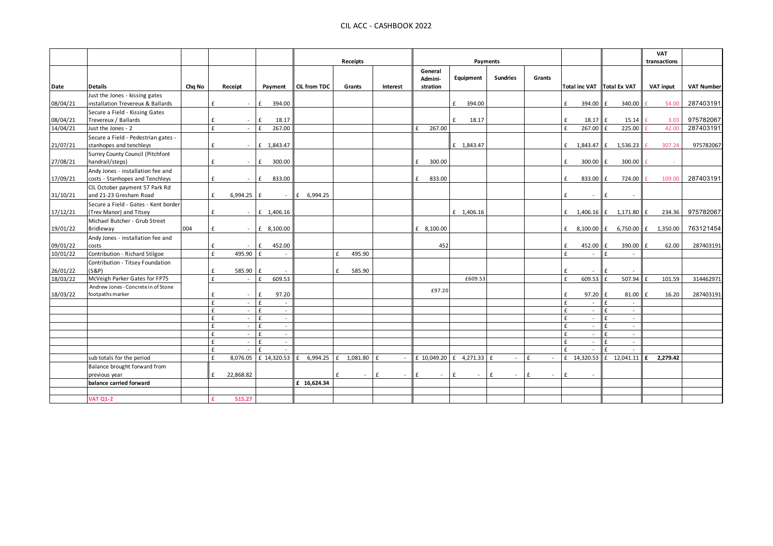|          |                                                                 |        |                   |                            |                     | Receipts           |             |                                |                          | Payments        |              |                              |                  |                            | <b>VAT</b><br>transactions |                   |
|----------|-----------------------------------------------------------------|--------|-------------------|----------------------------|---------------------|--------------------|-------------|--------------------------------|--------------------------|-----------------|--------------|------------------------------|------------------|----------------------------|----------------------------|-------------------|
|          |                                                                 |        |                   |                            | <b>CIL from TDC</b> |                    |             | General<br>Admini-<br>stration | Equipment                | <b>Sundries</b> | Grants       |                              |                  | Total inc VAT Total Ex VAT |                            | <b>VAT Number</b> |
| Date     | <b>Details</b><br>Just the Jones - kissing gates                | Chg No | Receipt           | Payment                    |                     | Grants             | Interest    |                                |                          |                 |              |                              |                  |                            | <b>VAT input</b>           |                   |
| 08/04/21 | installation Trevereux & Ballards                               |        | £<br>$\sim$       | f<br>394.00                |                     |                    |             |                                | f<br>394.00              |                 |              | £                            | 394.00           | l £<br>340.00              | 54.00                      | 287403191         |
|          | Secure a Field - Kissing Gates                                  |        |                   |                            |                     |                    |             |                                |                          |                 |              |                              |                  |                            |                            |                   |
| 08/04/21 | Trevereux / Ballards                                            |        | £<br>$\sim$       | 18.17<br>£                 |                     |                    |             |                                | £<br>18.17               |                 |              | £                            | 18.17            | 15.14                      | 3.03                       | 975782067         |
| 14/04/21 | Just the Jones - 2                                              |        | $\mathbf{f}$      | £<br>267.00                |                     |                    |             | 267.00<br>£                    |                          |                 |              | f                            | 267.00           | 225.00                     | 42.00                      | 287403191         |
|          | Secure a Field - Pedestrian gates -                             |        |                   |                            |                     |                    |             |                                |                          |                 |              |                              |                  |                            |                            |                   |
| 21/07/21 | stanhopes and tenchleys                                         |        | f                 | £ 1,843.47                 |                     |                    |             |                                | £ 1,843.47               |                 |              |                              |                  | £ $1,843.47$ $E$ 1,536.23  | 307.24                     | 975782067         |
| 27/08/21 | Surrey County Council (Pitchfont<br>handrail/steps)             |        | £                 | f<br>300.00                |                     |                    |             | 300.00<br>$\mathbf{f}$         |                          |                 |              | £                            | $300.00$ E       | 300.00                     |                            |                   |
|          | Andy Jones - installation fee and                               |        |                   |                            |                     |                    |             |                                |                          |                 |              |                              |                  |                            |                            |                   |
| 17/09/21 | costs - Stanhopes and Tenchleys                                 |        | £<br>$\sim$       | f<br>833.00                |                     |                    |             | 833.00                         |                          |                 |              | £                            | 833.00 £         | 724.00                     | 109.00                     | 287403191         |
|          | CIL October payment 57 Park Rd                                  |        |                   |                            |                     |                    |             |                                |                          |                 |              |                              |                  |                            |                            |                   |
| 31/10/21 | and 21-23 Gresham Road                                          |        | £<br>6,994.25 $f$ | $\sim$                     | £ 6,994.25          |                    |             |                                |                          |                 |              | £                            | $\sim$           | £                          |                            |                   |
| 17/12/21 | Secure a Field - Gates - Kent border<br>(Trev Manor) and Titsey |        | £<br>$\sim$       | £ 1,406.16                 |                     |                    |             |                                | £ 1,406.16               |                 |              |                              |                  | £ $1,406.16$ $E$ 1,171.80  | Ι£<br>234.36               | 975782067         |
|          | Michael Butcher - Grub Street                                   |        |                   |                            |                     |                    |             |                                |                          |                 |              |                              |                  |                            |                            |                   |
| 19/01/22 | Bridleway                                                       | 004    | £<br>$\sim$       | £ 8,100.00                 |                     |                    |             | £ 8,100.00                     |                          |                 |              | f                            | 8,100.00 £       | 6,750.00 £                 | 1,350.00                   | 763121454         |
|          | Andy Jones - installation fee and                               |        |                   |                            |                     |                    |             |                                |                          |                 |              |                              |                  |                            |                            |                   |
| 09/01/22 | costs                                                           |        | £<br>$\sim$       | f<br>452.00                |                     |                    |             | 452                            |                          |                 |              | £                            | 452.00           | 390.00<br>f                | E<br>62.00                 | 287403191         |
| 10/01/22 | Contribution - Richard Stilgoe                                  |        | £<br>495.90       | $\mathbf{f}$               |                     | 495.90<br>£        |             |                                |                          |                 |              | $\epsilon$                   |                  |                            |                            |                   |
| 26/01/22 | Contribution - Titsey Foundation<br>(S&P)                       |        | 585.90<br>£       | f                          |                     | £<br>585.90        |             |                                |                          |                 |              | f                            |                  |                            |                            |                   |
| 18/03/22 | McVeigh Parker Gates for FP75                                   |        | f<br>$\sim$       | 609.53<br>£                |                     |                    |             |                                | £609.53                  |                 |              | £                            | 609.53           | 507.94                     | £<br>101.59                | 314462971         |
|          | Andrew Jones - Concrete in of Stone                             |        |                   |                            |                     |                    |             |                                |                          |                 |              |                              |                  |                            |                            |                   |
| 18/03/22 | footpaths marker                                                |        | £                 | 97.20<br>£                 |                     |                    |             | £97.20                         |                          |                 |              | £                            | 97.20            | 81.00                      | 16.20<br>$\mathbf{f}$      | 287403191         |
|          |                                                                 |        | £<br>$\sim$       | £<br>$\sim$                |                     |                    |             |                                |                          |                 |              | £                            | $\sim$           |                            |                            |                   |
|          |                                                                 |        | £<br>$\sim$       | £<br>$\sim$                |                     |                    |             |                                |                          |                 |              | $\mathbf{f}$                 | $\sim$           |                            |                            |                   |
|          |                                                                 |        | £<br>$\sim$       | £<br>$\sim$                |                     |                    |             |                                |                          |                 |              | $\mathbf{f}$                 | $\sim$           |                            |                            |                   |
|          |                                                                 |        | £<br>$\sim$       | £<br>$\sim$                |                     |                    |             |                                |                          |                 |              | £                            | $\sim$           | $\sim$                     |                            |                   |
|          |                                                                 |        | £<br>£            | £<br>$\sim$<br>£<br>$\sim$ |                     |                    |             |                                |                          |                 |              | $\mathbf{f}$<br>$\mathbf{f}$ | $\sim$<br>$\sim$ |                            |                            |                   |
|          |                                                                 |        | £<br>$\sim$       | £<br>$\sim$                |                     |                    |             |                                |                          |                 |              | £                            | $\sim$           |                            |                            |                   |
|          | sub totals for the period                                       |        | £                 | 8,076.05 £ 14,320.53       | 6,994.25            | $f = 1,081.80$ $f$ | $\sim$      |                                | £ 10,049.20 £ 4,271.33 £ | $\sim$          | $\mathbf{f}$ |                              | £ 14,320.53      | £ 12,041.11                | 2,279.42<br>£              |                   |
|          | Balance brought forward from                                    |        |                   |                            |                     |                    |             |                                |                          |                 |              |                              |                  |                            |                            |                   |
|          | previous year                                                   |        | 22,868.82<br>f    |                            |                     | £<br>$\sim$        | f<br>$\sim$ | $\mathbf{f}$<br>$\sim$         | £<br>$\sim$              | £<br>$\sim$     | £<br>$\sim$  | f                            | $\sim$           |                            |                            |                   |
|          | balance carried forward                                         |        |                   |                            | £ 16,624.34         |                    |             |                                |                          |                 |              |                              |                  |                            |                            |                   |
|          |                                                                 |        |                   |                            |                     |                    |             |                                |                          |                 |              |                              |                  |                            |                            |                   |
|          | <b>VAT Q1-2</b>                                                 |        | 515.27            |                            |                     |                    |             |                                |                          |                 |              |                              |                  |                            |                            |                   |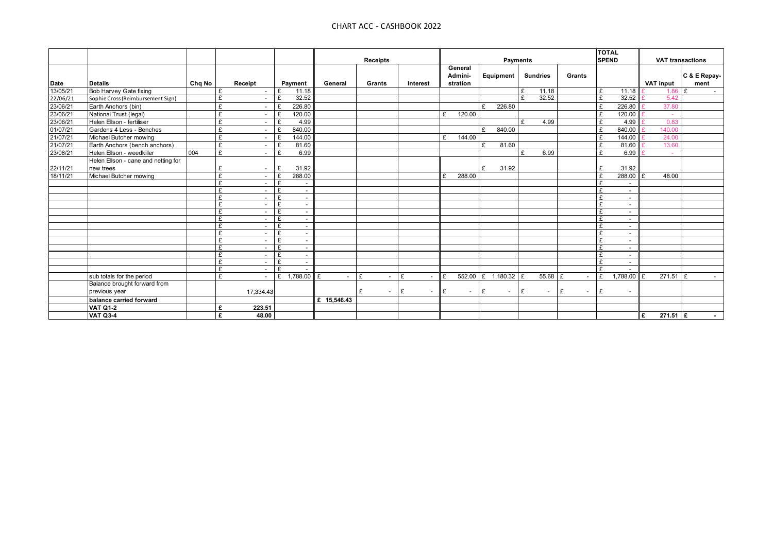|                             |                                     |        |                               |                                                                |             |                               |             |                |             |                 |                          | <b>TOTAL</b>     |                  |                         |
|-----------------------------|-------------------------------------|--------|-------------------------------|----------------------------------------------------------------|-------------|-------------------------------|-------------|----------------|-------------|-----------------|--------------------------|------------------|------------------|-------------------------|
|                             |                                     |        |                               |                                                                |             | <b>Receipts</b>               |             |                |             | Payments        |                          | <b>SPEND</b>     |                  | <b>VAT transactions</b> |
|                             |                                     |        |                               |                                                                |             |                               |             | General        |             |                 |                          |                  |                  |                         |
|                             |                                     |        |                               |                                                                |             |                               |             | Admini-        | Equipment   | <b>Sundries</b> | Grants                   |                  |                  | C & E Repay-            |
| Date<br>13/05/21            | <b>Details</b>                      | Chg No | Receipt                       | Payment                                                        | General     | Grants                        | Interest    | stration       |             |                 |                          |                  | <b>VAT input</b> | ment                    |
|                             | Bob Harvey Gate fixing              |        | £                             | 11.18<br>£                                                     |             |                               |             |                |             | £<br>11.18      |                          | £<br>11.18       | $1.86 \tE$       |                         |
|                             | Sophie Cross (Reimbursement Sign)   |        | £                             | 32.52<br>F                                                     |             |                               |             |                |             | 32.52<br>F      |                          | 32.52<br>F       | 5.42             |                         |
| $\frac{18766721}{22/06/21}$ | Earth Anchors (bin)                 |        | £                             | 226.80<br>£                                                    |             |                               |             |                | £<br>226.80 |                 |                          | 226.80<br>£      | 37.80            |                         |
| 23/06/21                    | National Trust (legal)              |        | £                             | 120.00<br>£                                                    |             |                               |             | 120.00<br>₽    |             |                 |                          | 120.00<br>£      |                  |                         |
| 23/06/21                    | Helen Ellson - fertiliser           |        | £                             | 4.99<br>$\mathbf{f}$                                           |             |                               |             |                |             | £<br>4.99       |                          | £<br>4.99        | 0.83             |                         |
| 01/07/21                    | Gardens 4 Less - Benches            |        | £                             | 840.00<br>£                                                    |             |                               |             |                | 840.00<br>£ |                 |                          | 840.00<br>£      | 140.00           |                         |
| 21/07/21                    | Michael Butcher mowing              |        | £<br>$\sim$                   | 144.00<br>£                                                    |             |                               |             | 144.00<br>£    |             |                 |                          | 144.00<br>£      | 24.00            |                         |
| 21/07/21                    | Earth Anchors (bench anchors)       |        | £                             | £<br>81.60                                                     |             |                               |             |                | 81.60<br>£  |                 |                          | £<br>81.60       | 13.60            |                         |
| 23/08/21                    | Helen Ellson - weedkiller           | 004    | £                             | $\mathbf{f}$<br>6.99                                           |             |                               |             |                |             | £<br>6.99       |                          | £<br>6.99        |                  |                         |
|                             | Helen Ellson - cane and netting for |        |                               |                                                                |             |                               |             |                |             |                 |                          |                  |                  |                         |
|                             | new trees                           |        | £                             | 31.92<br>£                                                     |             |                               |             |                | 31.92<br>£  |                 |                          | £<br>31.92       |                  |                         |
| 22/11/21<br>18/11/21        | Michael Butcher mowing              |        | £                             | 288.00<br>£                                                    |             |                               |             | 288.00         |             |                 |                          | 288.00<br>£      | 48.00            |                         |
|                             |                                     |        | £                             | £<br>$\overline{\phantom{a}}$                                  |             |                               |             |                |             |                 |                          | £<br>$\sim$      |                  |                         |
|                             |                                     |        | £                             | £<br>$\overline{\phantom{0}}$                                  |             |                               |             |                |             |                 |                          | $\sim$           |                  |                         |
|                             |                                     |        | £                             | £<br>$\overline{\phantom{0}}$                                  |             |                               |             |                |             |                 |                          | $\sim$           |                  |                         |
|                             |                                     |        | £                             | £<br>$\overline{\phantom{a}}$                                  |             |                               |             |                |             |                 |                          | $\sim$           |                  |                         |
|                             |                                     |        | £                             | £<br>$\overline{\phantom{a}}$                                  |             |                               |             |                |             |                 |                          | $\sim$           |                  |                         |
|                             |                                     |        | £<br>$\overline{\phantom{a}}$ | £<br>$\overline{\phantom{a}}$                                  |             |                               |             |                |             |                 |                          | $\sim$           |                  |                         |
|                             |                                     |        | £                             | £<br>$\overline{\phantom{a}}$                                  |             |                               |             |                |             |                 |                          | $\sim$           |                  |                         |
|                             |                                     |        | £                             | £<br>$\overline{\phantom{a}}$                                  |             |                               |             |                |             |                 |                          | $\sim$           |                  |                         |
|                             |                                     |        | £                             | £<br>$\overline{\phantom{a}}$                                  |             |                               |             |                |             |                 |                          | £<br>$\sim$<br>£ |                  |                         |
|                             |                                     |        | £<br>£                        | £<br>$\overline{\phantom{a}}$<br>£<br>$\overline{\phantom{a}}$ |             |                               |             |                |             |                 |                          | $\sim$<br>$\sim$ |                  |                         |
|                             |                                     |        | £<br>$\sim$                   | £<br>$\overline{\phantom{a}}$                                  |             |                               |             |                |             |                 |                          | $\sim$           |                  |                         |
|                             |                                     |        | £<br>$\overline{\phantom{a}}$ | £<br>$\overline{\phantom{a}}$                                  |             |                               |             |                |             |                 |                          | $\sim$           |                  |                         |
|                             | sub totals for the period           |        | £                             | £<br>1,788.00                                                  | £           | £<br>$\overline{\phantom{a}}$ | £<br>$\sim$ | 552.00<br>l F  | £ 1.180.32  | 55.68 £<br>£    | $\overline{\phantom{a}}$ | £<br>$.788.00$ £ | $271.51$ £       |                         |
|                             | Balance brought forward from        |        |                               |                                                                |             |                               |             |                |             |                 |                          |                  |                  |                         |
|                             | previous year                       |        | 17,334.43                     |                                                                |             | £<br>$\overline{\phantom{a}}$ | £<br>$\sim$ | ll £<br>$\sim$ | £<br>$\sim$ | E<br>$\sim$     | £<br>$\sim$              | £<br>$\sim$      |                  |                         |
|                             | balance carried forward             |        |                               |                                                                | £ 15.546.43 |                               |             |                |             |                 |                          |                  |                  |                         |
|                             | <b>VAT Q1-2</b>                     |        | 223.51<br>£                   |                                                                |             |                               |             |                |             |                 |                          |                  |                  |                         |
|                             | <b>VAT Q3-4</b>                     |        | £<br>48.00                    |                                                                |             |                               |             |                |             |                 |                          |                  | $271.51$ £<br>£  |                         |
|                             |                                     |        |                               |                                                                |             |                               |             |                |             |                 |                          |                  |                  | $\sim$                  |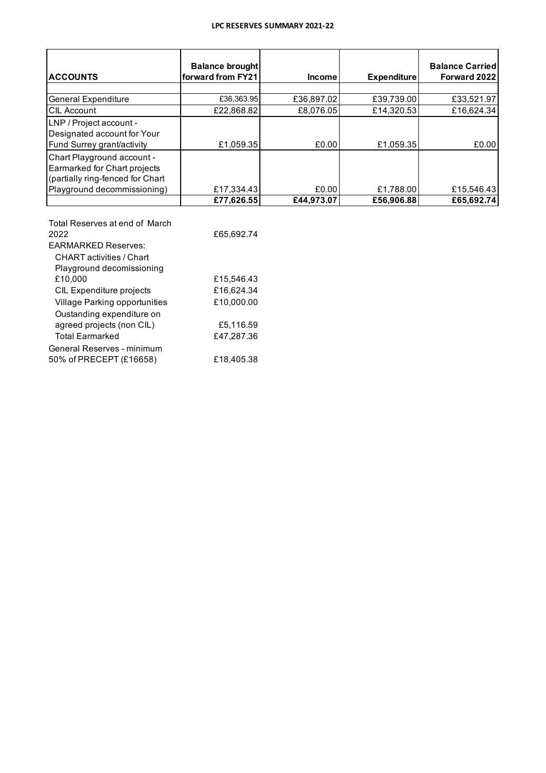## **LPC RESERVES SUMMARY 2021-22**

| <b>ACCOUNTS</b>                                                                                                               | <b>Balance brought</b><br>forward from FY21 | <b>Income</b> | <b>Expenditure</b> | <b>Balance Carried</b><br>Forward 2022 |
|-------------------------------------------------------------------------------------------------------------------------------|---------------------------------------------|---------------|--------------------|----------------------------------------|
|                                                                                                                               |                                             |               |                    |                                        |
| <b>General Expenditure</b>                                                                                                    | £36,363.95                                  | £36,897.02    | £39,739.00         | £33,521.97                             |
| <b>CIL Account</b>                                                                                                            | £22,868.82                                  | £8,076.05     | £14,320.53         | £16,624.34                             |
| LNP / Project account -<br>Designated account for Your<br>Fund Surrey grant/activity                                          | £1.059.35                                   | £0.00         | £1.059.35          | £0.00                                  |
| Chart Playground account -<br>Earmarked for Chart projects<br>(partially ring-fenced for Chart<br>Playground decommissioning) | £17,334.43                                  | £0.00         | £1,788.00          | £15,546.43                             |
|                                                                                                                               | £77.626.55                                  | £44.973.07    | £56,906.88         | £65,692.74                             |

| Total Reserves at end of March<br>2022 | £65,692.74 |
|----------------------------------------|------------|
| <b>EARMARKED Reserves:</b>             |            |
| CHART activities / Chart               |            |
| Playground decomissioning              |            |
| £10.000                                | £15,546.43 |
| CIL Expenditure projects               | £16,624.34 |
| Village Parking opportunities          | £10,000.00 |
| Oustanding expenditure on              |            |
| agreed projects (non CIL)              | £5,116.59  |
| <b>Total Earmarked</b>                 | £47,287.36 |
| General Reserves - minimum             |            |
| 50% of PRECEPT (£16658)                | £18,405.38 |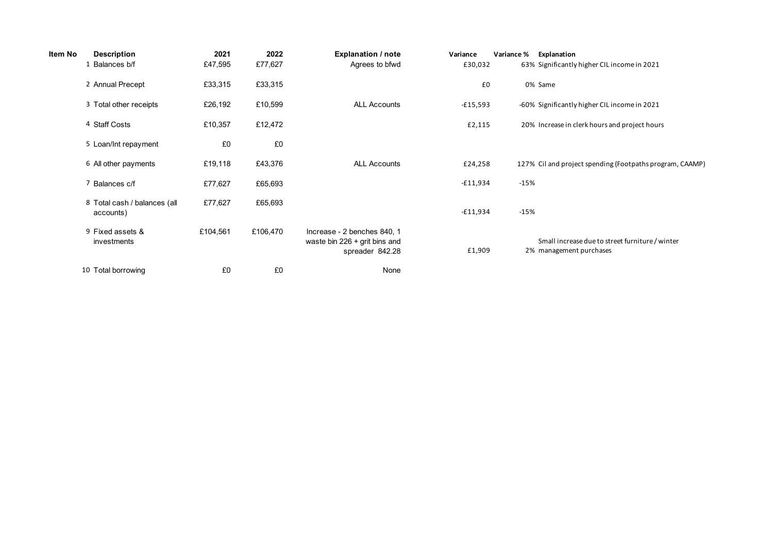| Item No | <b>Description</b>                        | 2021     | 2022     | <b>Explanation / note</b>                                                       | Variance   | Variance % | Explanation                                                                |
|---------|-------------------------------------------|----------|----------|---------------------------------------------------------------------------------|------------|------------|----------------------------------------------------------------------------|
|         | 1 Balances b/f                            | £47,595  | £77,627  | Agrees to bfwd                                                                  | £30,032    |            | 63% Significantly higher CIL income in 2021                                |
|         | 2 Annual Precept                          | £33,315  | £33,315  |                                                                                 | £0         |            | 0% Same                                                                    |
|         | 3 Total other receipts                    | £26,192  | £10,599  | <b>ALL Accounts</b>                                                             | $-£15,593$ |            | -60% Significantly higher CIL income in 2021                               |
|         | 4 Staff Costs                             | £10,357  | £12,472  |                                                                                 | £2,115     |            | 20% Increase in clerk hours and project hours                              |
|         | 5 Loan/Int repayment                      | £0       | £0       |                                                                                 |            |            |                                                                            |
|         | 6 All other payments                      | £19,118  | £43,376  | <b>ALL Accounts</b>                                                             | £24,258    |            | 127% Cil and project spending (Footpaths program, CAAMP)                   |
|         | 7 Balances c/f                            | £77,627  | £65,693  |                                                                                 | -£11,934   | $-15%$     |                                                                            |
|         | 8 Total cash / balances (all<br>accounts) | £77,627  | £65,693  |                                                                                 | $-£11,934$ | $-15%$     |                                                                            |
|         | 9 Fixed assets &<br>investments           | £104,561 | £106,470 | Increase - 2 benches 840, 1<br>waste bin 226 + grit bins and<br>spreader 842.28 | £1,909     |            | Small increase due to street furniture / winter<br>2% management purchases |
|         | 10 Total borrowing                        | £0       | £0       | None                                                                            |            |            |                                                                            |